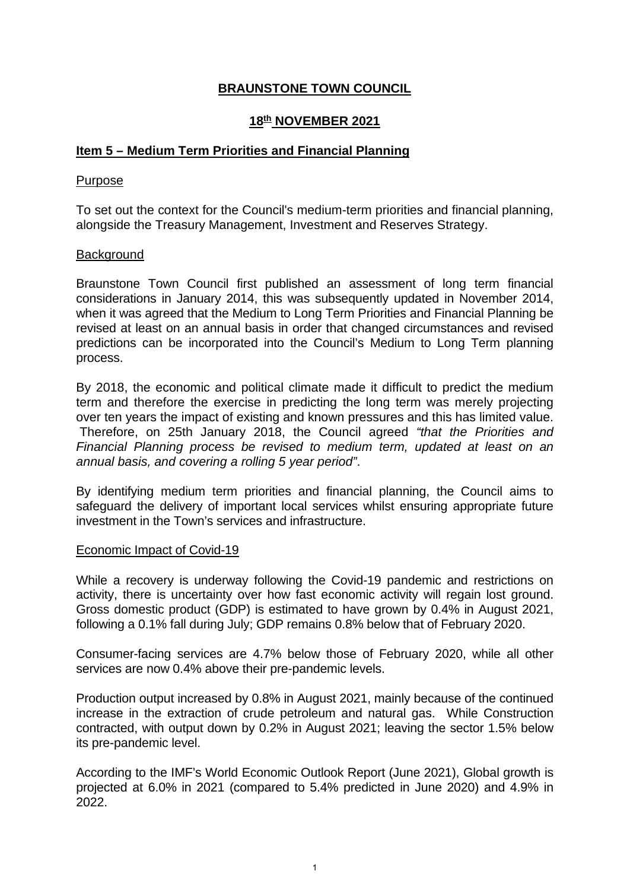# **BRAUNSTONE TOWN COUNCIL**

# **18th NOVEMBER 2021**

## **Item 5 – Medium Term Priorities and Financial Planning**

### Purpose

To set out the context for the Council's medium-term priorities and financial planning, alongside the Treasury Management, Investment and Reserves Strategy.

## **Background**

Braunstone Town Council first published an assessment of long term financial considerations in January 2014, this was subsequently updated in November 2014, when it was agreed that the Medium to Long Term Priorities and Financial Planning be revised at least on an annual basis in order that changed circumstances and revised predictions can be incorporated into the Council's Medium to Long Term planning process.

By 2018, the economic and political climate made it difficult to predict the medium term and therefore the exercise in predicting the long term was merely projecting over ten years the impact of existing and known pressures and this has limited value. Therefore, on 25th January 2018, the Council agreed *"that the Priorities and Financial Planning process be revised to medium term, updated at least on an annual basis, and covering a rolling 5 year period"*.

By identifying medium term priorities and financial planning, the Council aims to safeguard the delivery of important local services whilst ensuring appropriate future investment in the Town's services and infrastructure.

### Economic Impact of Covid-19

While a recovery is underway following the Covid-19 pandemic and restrictions on activity, there is uncertainty over how fast economic activity will regain lost ground. Gross domestic product (GDP) is estimated to have grown by 0.4% in August 2021, following a 0.1% fall during July; GDP remains 0.8% below that of February 2020.

Consumer-facing services are 4.7% below those of February 2020, while all other services are now 0.4% above their pre-pandemic levels.

Production output increased by 0.8% in August 2021, mainly because of the continued increase in the extraction of crude petroleum and natural gas. While Construction contracted, with output down by 0.2% in August 2021; leaving the sector 1.5% below its pre-pandemic level.

According to the IMF's World Economic Outlook Report (June 2021), Global growth is projected at 6.0% in 2021 (compared to 5.4% predicted in June 2020) and 4.9% in 2022.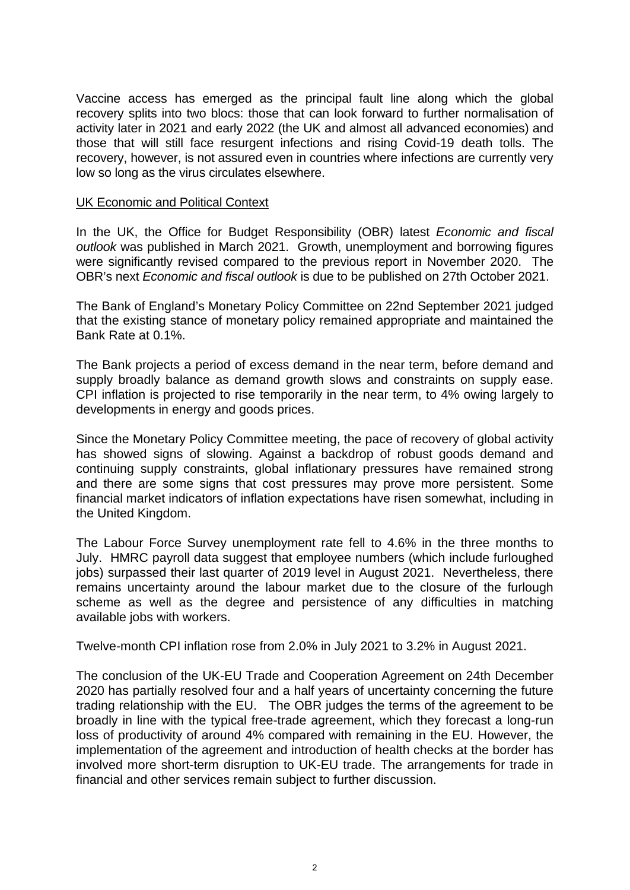Vaccine access has emerged as the principal fault line along which the global recovery splits into two blocs: those that can look forward to further normalisation of activity later in 2021 and early 2022 (the UK and almost all advanced economies) and those that will still face resurgent infections and rising Covid-19 death tolls. The recovery, however, is not assured even in countries where infections are currently very low so long as the virus circulates elsewhere.

### UK Economic and Political Context

In the UK, the Office for Budget Responsibility (OBR) latest *Economic and fiscal outlook* was published in March 2021. Growth, unemployment and borrowing figures were significantly revised compared to the previous report in November 2020. The OBR's next *Economic and fiscal outlook* is due to be published on 27th October 2021.

The Bank of England's Monetary Policy Committee on 22nd September 2021 judged that the existing stance of monetary policy remained appropriate and maintained the Bank Rate at 0.1%.

The Bank projects a period of excess demand in the near term, before demand and supply broadly balance as demand growth slows and constraints on supply ease. CPI inflation is projected to rise temporarily in the near term, to 4% owing largely to developments in energy and goods prices.

Since the Monetary Policy Committee meeting, the pace of recovery of global activity has showed signs of slowing. Against a backdrop of robust goods demand and continuing supply constraints, global inflationary pressures have remained strong and there are some signs that cost pressures may prove more persistent. Some financial market indicators of inflation expectations have risen somewhat, including in the United Kingdom.

The Labour Force Survey unemployment rate fell to 4.6% in the three months to July. HMRC payroll data suggest that employee numbers (which include furloughed jobs) surpassed their last quarter of 2019 level in August 2021. Nevertheless, there remains uncertainty around the labour market due to the closure of the furlough scheme as well as the degree and persistence of any difficulties in matching available jobs with workers.

Twelve-month CPI inflation rose from 2.0% in July 2021 to 3.2% in August 2021.

The conclusion of the UK-EU Trade and Cooperation Agreement on 24th December 2020 has partially resolved four and a half years of uncertainty concerning the future trading relationship with the EU. The OBR judges the terms of the agreement to be broadly in line with the typical free-trade agreement, which they forecast a long-run loss of productivity of around 4% compared with remaining in the EU. However, the implementation of the agreement and introduction of health checks at the border has involved more short-term disruption to UK-EU trade. The arrangements for trade in financial and other services remain subject to further discussion.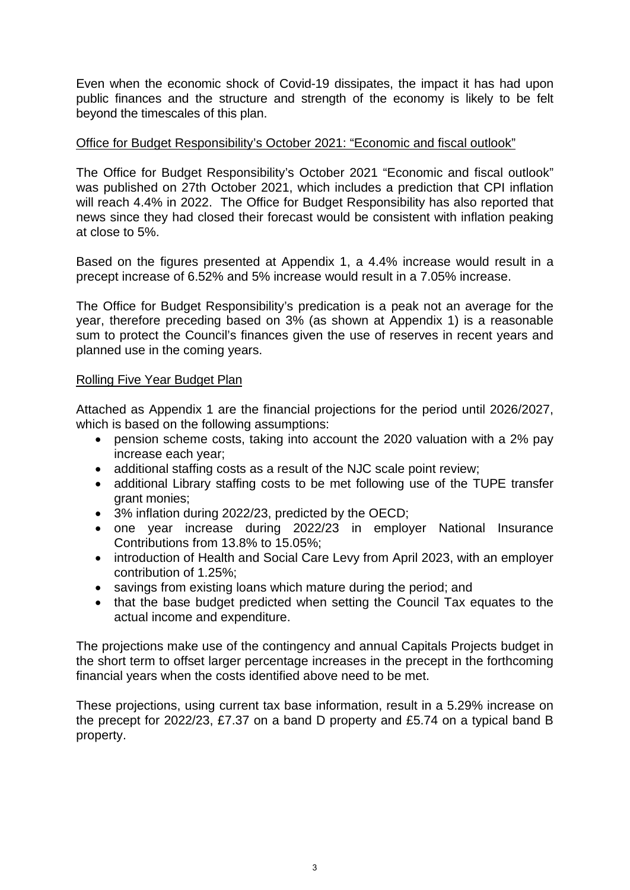Even when the economic shock of Covid-19 dissipates, the impact it has had upon public finances and the structure and strength of the economy is likely to be felt beyond the timescales of this plan.

# Office for Budget Responsibility's October 2021: "Economic and fiscal outlook"

The Office for Budget Responsibility's October 2021 "Economic and fiscal outlook" was published on 27th October 2021, which includes a prediction that CPI inflation will reach 4.4% in 2022. The Office for Budget Responsibility has also reported that news since they had closed their forecast would be consistent with inflation peaking at close to 5%.

Based on the figures presented at Appendix 1, a 4.4% increase would result in a precept increase of 6.52% and 5% increase would result in a 7.05% increase.

The Office for Budget Responsibility's predication is a peak not an average for the year, therefore preceding based on 3% (as shown at Appendix 1) is a reasonable sum to protect the Council's finances given the use of reserves in recent years and planned use in the coming years.

# Rolling Five Year Budget Plan

Attached as Appendix 1 are the financial projections for the period until 2026/2027, which is based on the following assumptions:

- pension scheme costs, taking into account the 2020 valuation with a 2% pay increase each year;
- additional staffing costs as a result of the NJC scale point review;
- additional Library staffing costs to be met following use of the TUPE transfer grant monies;
- 3% inflation during 2022/23, predicted by the OECD;
- one year increase during 2022/23 in employer National Insurance Contributions from 13.8% to 15.05%;
- introduction of Health and Social Care Levy from April 2023, with an employer contribution of 1.25%;
- savings from existing loans which mature during the period; and
- that the base budget predicted when setting the Council Tax equates to the actual income and expenditure.

The projections make use of the contingency and annual Capitals Projects budget in the short term to offset larger percentage increases in the precept in the forthcoming financial years when the costs identified above need to be met.

These projections, using current tax base information, result in a 5.29% increase on the precept for 2022/23, £7.37 on a band D property and £5.74 on a typical band B property.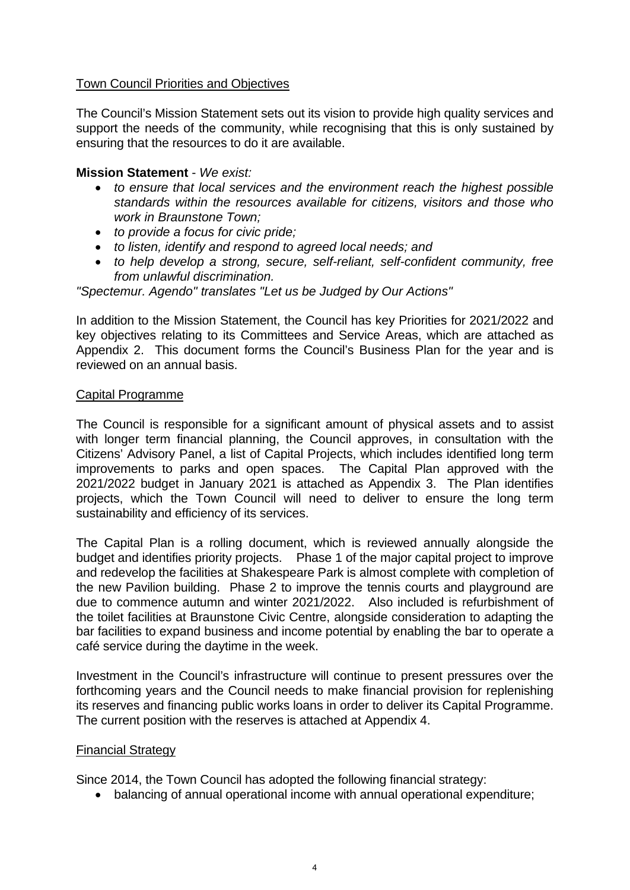# Town Council Priorities and Objectives

The Council's Mission Statement sets out its vision to provide high quality services and support the needs of the community, while recognising that this is only sustained by ensuring that the resources to do it are available.

# **Mission Statement** - *We exist:*

- *to ensure that local services and the environment reach the highest possible standards within the resources available for citizens, visitors and those who work in Braunstone Town;*
- *to provide a focus for civic pride;*
- *to listen, identify and respond to agreed local needs; and*
- *to help develop a strong, secure, self-reliant, self-confident community, free from unlawful discrimination.*

*"Spectemur. Agendo" translates "Let us be Judged by Our Actions"*

In addition to the Mission Statement, the Council has key Priorities for 2021/2022 and key objectives relating to its Committees and Service Areas, which are attached as Appendix 2. This document forms the Council's Business Plan for the year and is reviewed on an annual basis.

## Capital Programme

The Council is responsible for a significant amount of physical assets and to assist with longer term financial planning, the Council approves, in consultation with the Citizens' Advisory Panel, a list of Capital Projects, which includes identified long term improvements to parks and open spaces. The Capital Plan approved with the 2021/2022 budget in January 2021 is attached as Appendix 3. The Plan identifies projects, which the Town Council will need to deliver to ensure the long term sustainability and efficiency of its services.

The Capital Plan is a rolling document, which is reviewed annually alongside the budget and identifies priority projects. Phase 1 of the major capital project to improve and redevelop the facilities at Shakespeare Park is almost complete with completion of the new Pavilion building. Phase 2 to improve the tennis courts and playground are due to commence autumn and winter 2021/2022. Also included is refurbishment of the toilet facilities at Braunstone Civic Centre, alongside consideration to adapting the bar facilities to expand business and income potential by enabling the bar to operate a café service during the daytime in the week.

Investment in the Council's infrastructure will continue to present pressures over the forthcoming years and the Council needs to make financial provision for replenishing its reserves and financing public works loans in order to deliver its Capital Programme. The current position with the reserves is attached at Appendix 4.

# Financial Strategy

Since 2014, the Town Council has adopted the following financial strategy:

• balancing of annual operational income with annual operational expenditure;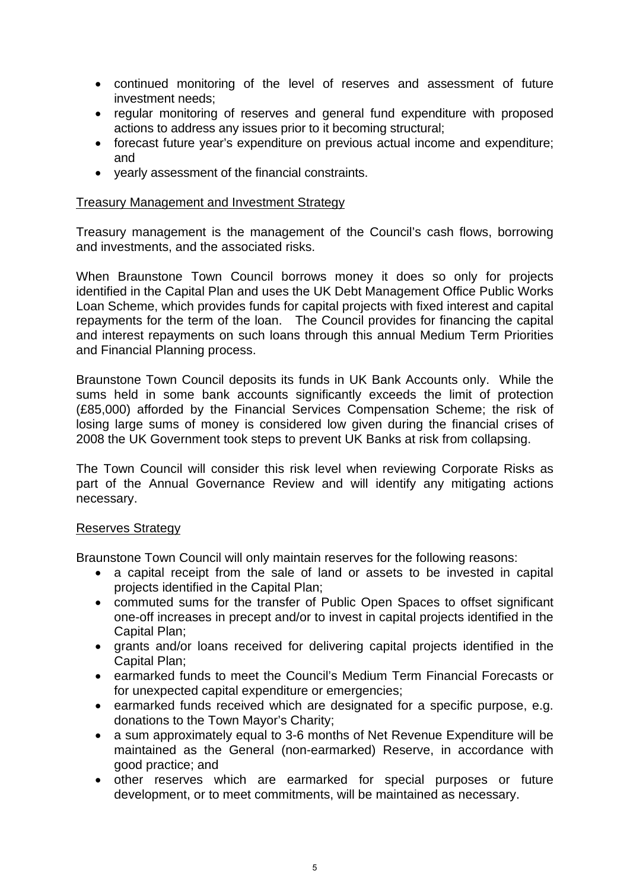- continued monitoring of the level of reserves and assessment of future investment needs;
- regular monitoring of reserves and general fund expenditure with proposed actions to address any issues prior to it becoming structural;
- forecast future year's expenditure on previous actual income and expenditure; and
- yearly assessment of the financial constraints.

## Treasury Management and Investment Strategy

Treasury management is the management of the Council's cash flows, borrowing and investments, and the associated risks.

When Braunstone Town Council borrows money it does so only for projects identified in the Capital Plan and uses the UK Debt Management Office Public Works Loan Scheme, which provides funds for capital projects with fixed interest and capital repayments for the term of the loan. The Council provides for financing the capital and interest repayments on such loans through this annual Medium Term Priorities and Financial Planning process.

Braunstone Town Council deposits its funds in UK Bank Accounts only. While the sums held in some bank accounts significantly exceeds the limit of protection (£85,000) afforded by the Financial Services Compensation Scheme; the risk of losing large sums of money is considered low given during the financial crises of 2008 the UK Government took steps to prevent UK Banks at risk from collapsing.

The Town Council will consider this risk level when reviewing Corporate Risks as part of the Annual Governance Review and will identify any mitigating actions necessary.

# Reserves Strategy

Braunstone Town Council will only maintain reserves for the following reasons:

- a capital receipt from the sale of land or assets to be invested in capital projects identified in the Capital Plan;
- commuted sums for the transfer of Public Open Spaces to offset significant one-off increases in precept and/or to invest in capital projects identified in the Capital Plan;
- grants and/or loans received for delivering capital projects identified in the Capital Plan;
- earmarked funds to meet the Council's Medium Term Financial Forecasts or for unexpected capital expenditure or emergencies;
- earmarked funds received which are designated for a specific purpose, e.g. donations to the Town Mayor's Charity;
- a sum approximately equal to 3-6 months of Net Revenue Expenditure will be maintained as the General (non-earmarked) Reserve, in accordance with good practice; and
- other reserves which are earmarked for special purposes or future development, or to meet commitments, will be maintained as necessary.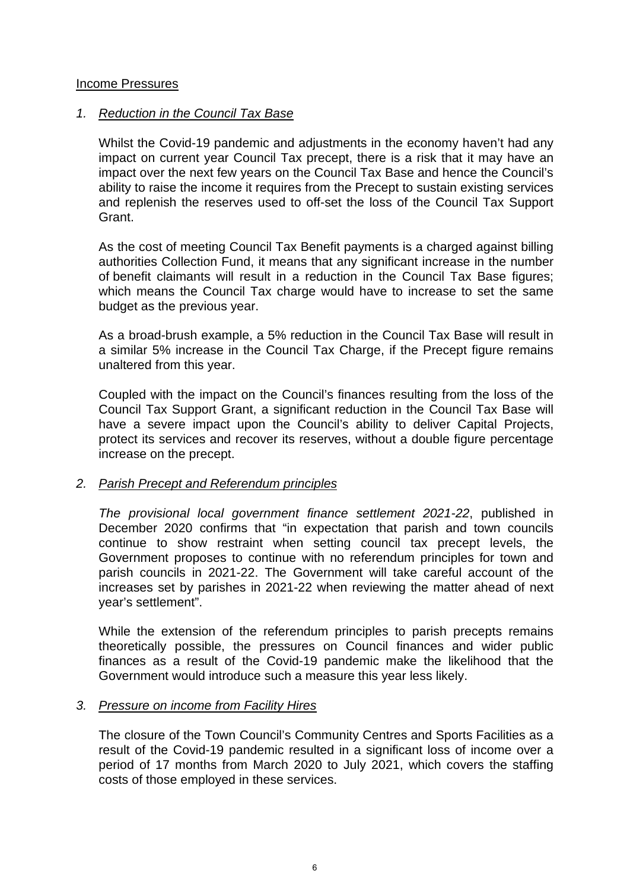## Income Pressures

## *1. Reduction in the Council Tax Base*

Whilst the Covid-19 pandemic and adjustments in the economy haven't had any impact on current year Council Tax precept, there is a risk that it may have an impact over the next few years on the Council Tax Base and hence the Council's ability to raise the income it requires from the Precept to sustain existing services and replenish the reserves used to off-set the loss of the Council Tax Support Grant.

As the cost of meeting Council Tax Benefit payments is a charged against billing authorities Collection Fund, it means that any significant increase in the number of benefit claimants will result in a reduction in the Council Tax Base figures; which means the Council Tax charge would have to increase to set the same budget as the previous year.

As a broad-brush example, a 5% reduction in the Council Tax Base will result in a similar 5% increase in the Council Tax Charge, if the Precept figure remains unaltered from this year.

Coupled with the impact on the Council's finances resulting from the loss of the Council Tax Support Grant, a significant reduction in the Council Tax Base will have a severe impact upon the Council's ability to deliver Capital Projects, protect its services and recover its reserves, without a double figure percentage increase on the precept.

# *2. Parish Precept and Referendum principles*

*The provisional local government finance settlement 2021-22*, published in December 2020 confirms that "in expectation that parish and town councils continue to show restraint when setting council tax precept levels, the Government proposes to continue with no referendum principles for town and parish councils in 2021-22. The Government will take careful account of the increases set by parishes in 2021-22 when reviewing the matter ahead of next year's settlement".

While the extension of the referendum principles to parish precepts remains theoretically possible, the pressures on Council finances and wider public finances as a result of the Covid-19 pandemic make the likelihood that the Government would introduce such a measure this year less likely.

### *3. Pressure on income from Facility Hires*

The closure of the Town Council's Community Centres and Sports Facilities as a result of the Covid-19 pandemic resulted in a significant loss of income over a period of 17 months from March 2020 to July 2021, which covers the staffing costs of those employed in these services.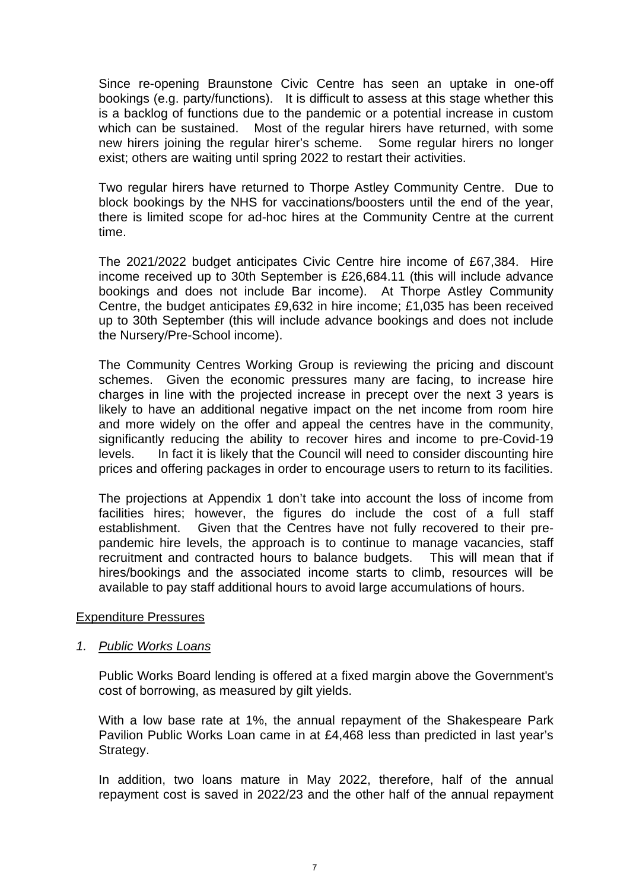Since re-opening Braunstone Civic Centre has seen an uptake in one-off bookings (e.g. party/functions). It is difficult to assess at this stage whether this is a backlog of functions due to the pandemic or a potential increase in custom which can be sustained. Most of the regular hirers have returned, with some new hirers joining the regular hirer's scheme. Some regular hirers no longer exist; others are waiting until spring 2022 to restart their activities.

Two regular hirers have returned to Thorpe Astley Community Centre. Due to block bookings by the NHS for vaccinations/boosters until the end of the year, there is limited scope for ad-hoc hires at the Community Centre at the current time.

The 2021/2022 budget anticipates Civic Centre hire income of £67,384. Hire income received up to 30th September is £26,684.11 (this will include advance bookings and does not include Bar income). At Thorpe Astley Community Centre, the budget anticipates £9,632 in hire income; £1,035 has been received up to 30th September (this will include advance bookings and does not include the Nursery/Pre-School income).

The Community Centres Working Group is reviewing the pricing and discount schemes. Given the economic pressures many are facing, to increase hire charges in line with the projected increase in precept over the next 3 years is likely to have an additional negative impact on the net income from room hire and more widely on the offer and appeal the centres have in the community, significantly reducing the ability to recover hires and income to pre-Covid-19 levels. In fact it is likely that the Council will need to consider discounting hire prices and offering packages in order to encourage users to return to its facilities.

The projections at Appendix 1 don't take into account the loss of income from facilities hires; however, the figures do include the cost of a full staff establishment. Given that the Centres have not fully recovered to their prepandemic hire levels, the approach is to continue to manage vacancies, staff recruitment and contracted hours to balance budgets. This will mean that if hires/bookings and the associated income starts to climb, resources will be available to pay staff additional hours to avoid large accumulations of hours.

### Expenditure Pressures

### *1. Public Works Loans*

Public Works Board lending is offered at a fixed margin above the Government's cost of borrowing, as measured by gilt yields.

With a low base rate at 1%, the annual repayment of the Shakespeare Park Pavilion Public Works Loan came in at £4,468 less than predicted in last year's Strategy.

In addition, two loans mature in May 2022, therefore, half of the annual repayment cost is saved in 2022/23 and the other half of the annual repayment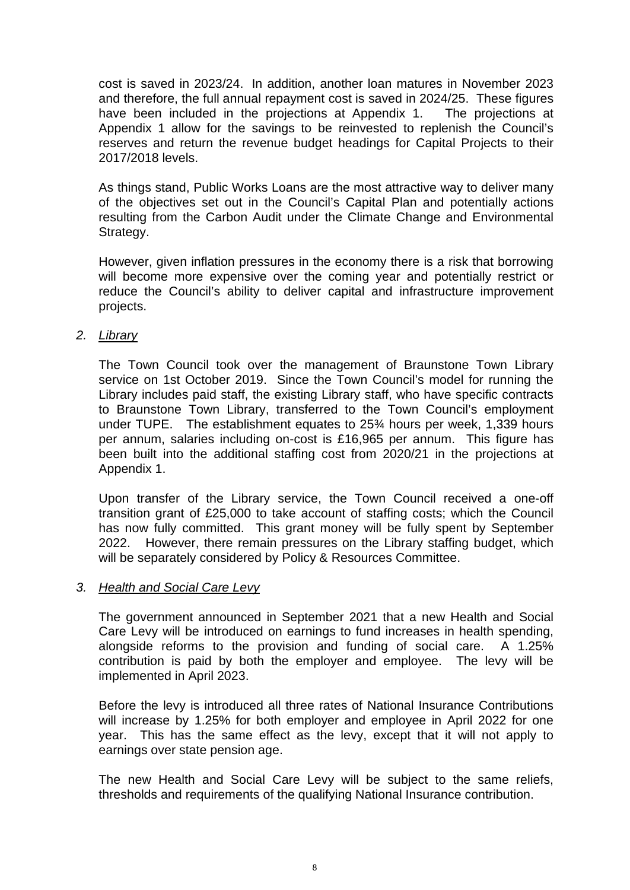cost is saved in 2023/24. In addition, another loan matures in November 2023 and therefore, the full annual repayment cost is saved in 2024/25. These figures have been included in the projections at Appendix 1. The projections at Appendix 1 allow for the savings to be reinvested to replenish the Council's reserves and return the revenue budget headings for Capital Projects to their 2017/2018 levels.

As things stand, Public Works Loans are the most attractive way to deliver many of the objectives set out in the Council's Capital Plan and potentially actions resulting from the Carbon Audit under the Climate Change and Environmental Strategy.

However, given inflation pressures in the economy there is a risk that borrowing will become more expensive over the coming year and potentially restrict or reduce the Council's ability to deliver capital and infrastructure improvement projects.

## *2. Library*

The Town Council took over the management of Braunstone Town Library service on 1st October 2019. Since the Town Council's model for running the Library includes paid staff, the existing Library staff, who have specific contracts to Braunstone Town Library, transferred to the Town Council's employment under TUPE. The establishment equates to 25¾ hours per week, 1,339 hours per annum, salaries including on-cost is £16,965 per annum. This figure has been built into the additional staffing cost from 2020/21 in the projections at Appendix 1.

Upon transfer of the Library service, the Town Council received a one-off transition grant of £25,000 to take account of staffing costs; which the Council has now fully committed. This grant money will be fully spent by September 2022. However, there remain pressures on the Library staffing budget, which will be separately considered by Policy & Resources Committee.

### *3. Health and Social Care Levy*

The government announced in September 2021 that a new Health and Social Care Levy will be introduced on earnings to fund increases in health spending, alongside reforms to the provision and funding of social care. A 1.25% contribution is paid by both the employer and employee. The levy will be implemented in April 2023.

Before the levy is introduced all three rates of National Insurance Contributions will increase by 1.25% for both employer and employee in April 2022 for one year. This has the same effect as the levy, except that it will not apply to earnings over state pension age.

The new Health and Social Care Levy will be subject to the same reliefs, thresholds and requirements of the qualifying National Insurance contribution.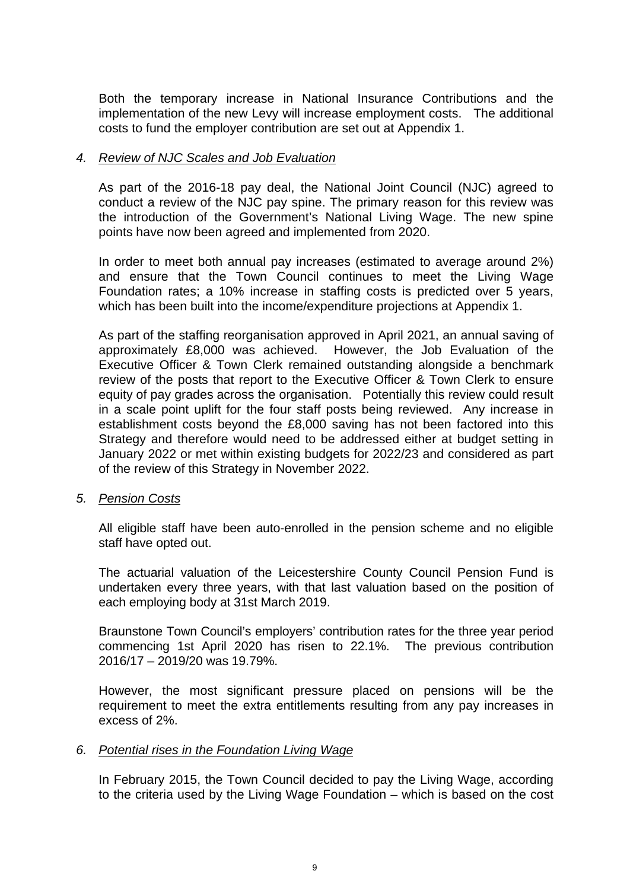Both the temporary increase in National Insurance Contributions and the implementation of the new Levy will increase employment costs. The additional costs to fund the employer contribution are set out at Appendix 1.

# *4. Review of NJC Scales and Job Evaluation*

As part of the 2016-18 pay deal, the National Joint Council (NJC) agreed to conduct a review of the NJC pay spine. The primary reason for this review was the introduction of the Government's National Living Wage. The new spine points have now been agreed and implemented from 2020.

In order to meet both annual pay increases (estimated to average around 2%) and ensure that the Town Council continues to meet the Living Wage Foundation rates; a 10% increase in staffing costs is predicted over 5 years, which has been built into the income/expenditure projections at Appendix 1.

As part of the staffing reorganisation approved in April 2021, an annual saving of approximately £8,000 was achieved. However, the Job Evaluation of the Executive Officer & Town Clerk remained outstanding alongside a benchmark review of the posts that report to the Executive Officer & Town Clerk to ensure equity of pay grades across the organisation. Potentially this review could result in a scale point uplift for the four staff posts being reviewed. Any increase in establishment costs beyond the £8,000 saving has not been factored into this Strategy and therefore would need to be addressed either at budget setting in January 2022 or met within existing budgets for 2022/23 and considered as part of the review of this Strategy in November 2022.

### *5. Pension Costs*

All eligible staff have been auto-enrolled in the pension scheme and no eligible staff have opted out.

The actuarial valuation of the Leicestershire County Council Pension Fund is undertaken every three years, with that last valuation based on the position of each employing body at 31st March 2019.

Braunstone Town Council's employers' contribution rates for the three year period commencing 1st April 2020 has risen to 22.1%. The previous contribution 2016/17 – 2019/20 was 19.79%.

However, the most significant pressure placed on pensions will be the requirement to meet the extra entitlements resulting from any pay increases in excess of 2%.

### *6. Potential rises in the Foundation Living Wage*

In February 2015, the Town Council decided to pay the Living Wage, according to the criteria used by the Living Wage Foundation – which is based on the cost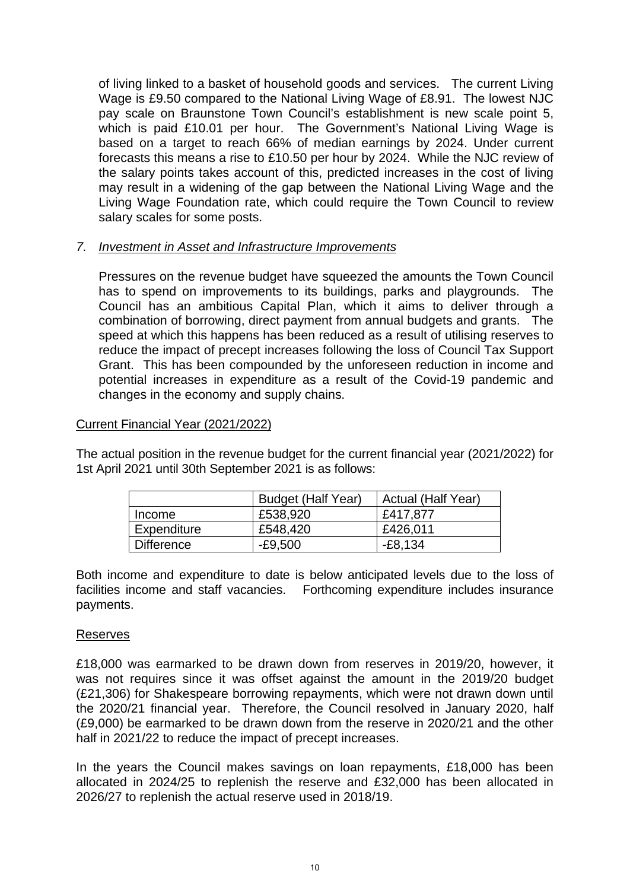of living linked to a basket of household goods and services. The current Living Wage is £9.50 compared to the National Living Wage of £8.91. The lowest NJC pay scale on Braunstone Town Council's establishment is new scale point 5, which is paid £10.01 per hour. The Government's National Living Wage is based on a target to reach 66% of median earnings by 2024. Under current forecasts this means a rise to £10.50 per hour by 2024. While the NJC review of the salary points takes account of this, predicted increases in the cost of living may result in a widening of the gap between the National Living Wage and the Living Wage Foundation rate, which could require the Town Council to review salary scales for some posts.

# *7. Investment in Asset and Infrastructure Improvements*

Pressures on the revenue budget have squeezed the amounts the Town Council has to spend on improvements to its buildings, parks and playgrounds. The Council has an ambitious Capital Plan, which it aims to deliver through a combination of borrowing, direct payment from annual budgets and grants. The speed at which this happens has been reduced as a result of utilising reserves to reduce the impact of precept increases following the loss of Council Tax Support Grant. This has been compounded by the unforeseen reduction in income and potential increases in expenditure as a result of the Covid-19 pandemic and changes in the economy and supply chains.

# Current Financial Year (2021/2022)

The actual position in the revenue budget for the current financial year (2021/2022) for 1st April 2021 until 30th September 2021 is as follows:

|             | <b>Budget (Half Year)</b> | Actual (Half Year) |
|-------------|---------------------------|--------------------|
| Income      | £538,920                  | £417,877           |
| Expenditure | £548,420                  | £426,011           |
| Difference  | -£9,500                   | $-E8.134$          |

Both income and expenditure to date is below anticipated levels due to the loss of facilities income and staff vacancies. Forthcoming expenditure includes insurance payments.

# **Reserves**

£18,000 was earmarked to be drawn down from reserves in 2019/20, however, it was not requires since it was offset against the amount in the 2019/20 budget (£21,306) for Shakespeare borrowing repayments, which were not drawn down until the 2020/21 financial year. Therefore, the Council resolved in January 2020, half (£9,000) be earmarked to be drawn down from the reserve in 2020/21 and the other half in 2021/22 to reduce the impact of precept increases.

In the years the Council makes savings on loan repayments, £18,000 has been allocated in 2024/25 to replenish the reserve and £32,000 has been allocated in 2026/27 to replenish the actual reserve used in 2018/19.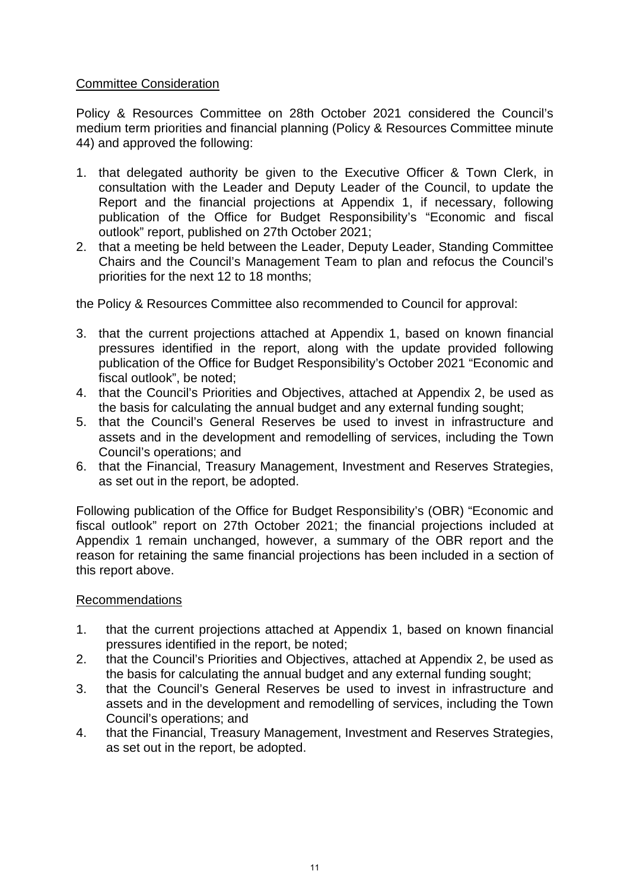# Committee Consideration

Policy & Resources Committee on 28th October 2021 considered the Council's medium term priorities and financial planning (Policy & Resources Committee minute 44) and approved the following:

- 1. that delegated authority be given to the Executive Officer & Town Clerk, in consultation with the Leader and Deputy Leader of the Council, to update the Report and the financial projections at Appendix 1, if necessary, following publication of the Office for Budget Responsibility's "Economic and fiscal outlook" report, published on 27th October 2021;
- 2. that a meeting be held between the Leader, Deputy Leader, Standing Committee Chairs and the Council's Management Team to plan and refocus the Council's priorities for the next 12 to 18 months;

the Policy & Resources Committee also recommended to Council for approval:

- 3. that the current projections attached at Appendix 1, based on known financial pressures identified in the report, along with the update provided following publication of the Office for Budget Responsibility's October 2021 "Economic and fiscal outlook", be noted;
- 4. that the Council's Priorities and Objectives, attached at Appendix 2, be used as the basis for calculating the annual budget and any external funding sought;
- 5. that the Council's General Reserves be used to invest in infrastructure and assets and in the development and remodelling of services, including the Town Council's operations; and
- 6. that the Financial, Treasury Management, Investment and Reserves Strategies, as set out in the report, be adopted.

Following publication of the Office for Budget Responsibility's (OBR) "Economic and fiscal outlook" report on 27th October 2021; the financial projections included at Appendix 1 remain unchanged, however, a summary of the OBR report and the reason for retaining the same financial projections has been included in a section of this report above.

# Recommendations

- 1. that the current projections attached at Appendix 1, based on known financial pressures identified in the report, be noted;
- 2. that the Council's Priorities and Objectives, attached at Appendix 2, be used as the basis for calculating the annual budget and any external funding sought;
- 3. that the Council's General Reserves be used to invest in infrastructure and assets and in the development and remodelling of services, including the Town Council's operations; and
- 4. that the Financial, Treasury Management, Investment and Reserves Strategies, as set out in the report, be adopted.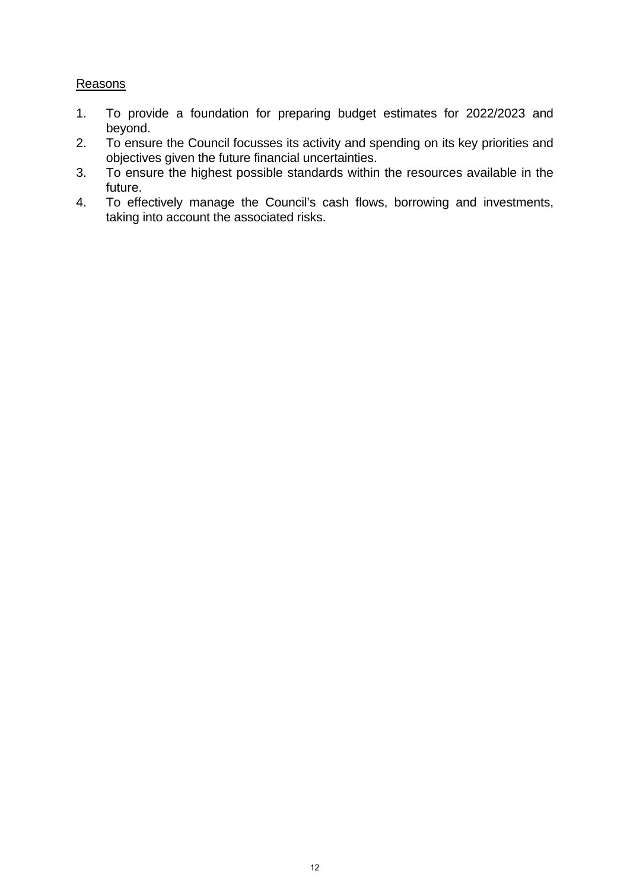# **Reasons**

- 1. To provide a foundation for preparing budget estimates for 2022/2023 and beyond.
- 2. To ensure the Council focusses its activity and spending on its key priorities and objectives given the future financial uncertainties.
- 3. To ensure the highest possible standards within the resources available in the future.
- 4. To effectively manage the Council's cash flows, borrowing and investments, taking into account the associated risks.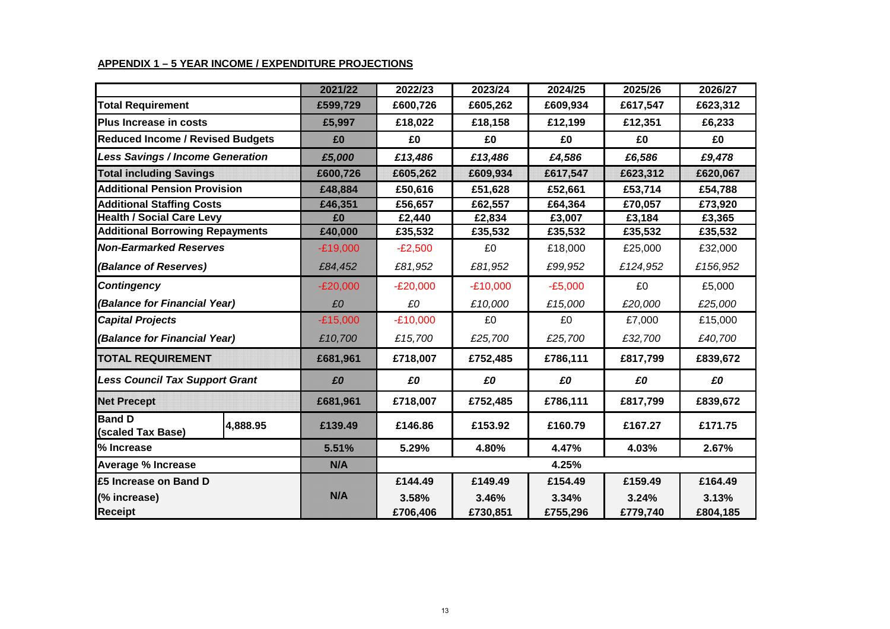# **APPENDIX 1 – 5 YEAR INCOME / EXPENDITURE PROJECTIONS**

|                                                | 2021/22    | 2022/23    | 2023/24    | 2024/25   | 2025/26  | 2026/27  |
|------------------------------------------------|------------|------------|------------|-----------|----------|----------|
| <b>Total Requirement</b>                       | £599,729   | £600,726   | £605,262   | £609,934  | £617,547 | £623,312 |
| <b>Plus Increase in costs</b>                  | £5,997     | £18,022    | £18,158    | £12,199   | £12,351  | £6,233   |
| <b>Reduced Income / Revised Budgets</b>        | £0         | £0         | £0         | £0        | £0       | £0       |
| <b>Less Savings / Income Generation</b>        | £5,000     | £13,486    | £13,486    | £4,586    | £6,586   | £9,478   |
| <b>Total including Savings</b>                 | £600,726   | £605,262   | £609,934   | £617,547  | £623,312 | £620,067 |
| <b>Additional Pension Provision</b>            | £48,884    | £50,616    | £51,628    | £52,661   | £53,714  | £54,788  |
| <b>Additional Staffing Costs</b>               | £46,351    | £56,657    | £62,557    | £64,364   | £70,057  | £73,920  |
| <b>Health / Social Care Levy</b>               | £0         | £2,440     | £2,834     | £3,007    | £3,184   | £3,365   |
| <b>Additional Borrowing Repayments</b>         | £40,000    | £35,532    | £35,532    | £35,532   | £35,532  | £35,532  |
| <b>Non-Earmarked Reserves</b>                  | $-E19,000$ | $-E2,500$  | £0         | £18,000   | £25,000  | £32,000  |
| (Balance of Reserves)                          | £84,452    | £81,952    | £81,952    | £99,952   | £124,952 | £156,952 |
| <b>Contingency</b>                             | $-E20,000$ | $-E20,000$ | $-E10,000$ | $-E5,000$ | £0       | £5,000   |
| (Balance for Financial Year)                   | £0         | £0         | £10,000    | £15,000   | £20,000  | £25,000  |
| <b>Capital Projects</b>                        | $-E15,000$ | $-E10,000$ | £0         | £0        | £7,000   | £15,000  |
| (Balance for Financial Year)                   | £10,700    | £15,700    | £25,700    | £25,700   | £32,700  | £40,700  |
| <b>TOTAL REQUIREMENT</b>                       | £681,961   | £718,007   | £752,485   | £786,111  | £817,799 | £839,672 |
| <b>Less Council Tax Support Grant</b>          | £0         | £0         | £0         | £0        | £0       | £0       |
| <b>Net Precept</b>                             | £681,961   | £718,007   | £752,485   | £786,111  | £817,799 | £839,672 |
| <b>Band D</b><br>4,888.95<br>(scaled Tax Base) | £139.49    | £146.86    | £153.92    | £160.79   | £167.27  | £171.75  |
| % Increase                                     | 5.51%      | 5.29%      | 4.80%      | 4.47%     | 4.03%    | 2.67%    |
| <b>Average % Increase</b>                      | N/A        | 4.25%      |            |           |          |          |
| £5 Increase on Band D                          |            | £144.49    | £149.49    | £154.49   | £159.49  | £164.49  |
| (% increase)                                   | N/A        | 3.58%      | 3.46%      | 3.34%     | 3.24%    | 3.13%    |
| <b>Receipt</b>                                 |            | £706,406   | £730,851   | £755,296  | £779,740 | £804,185 |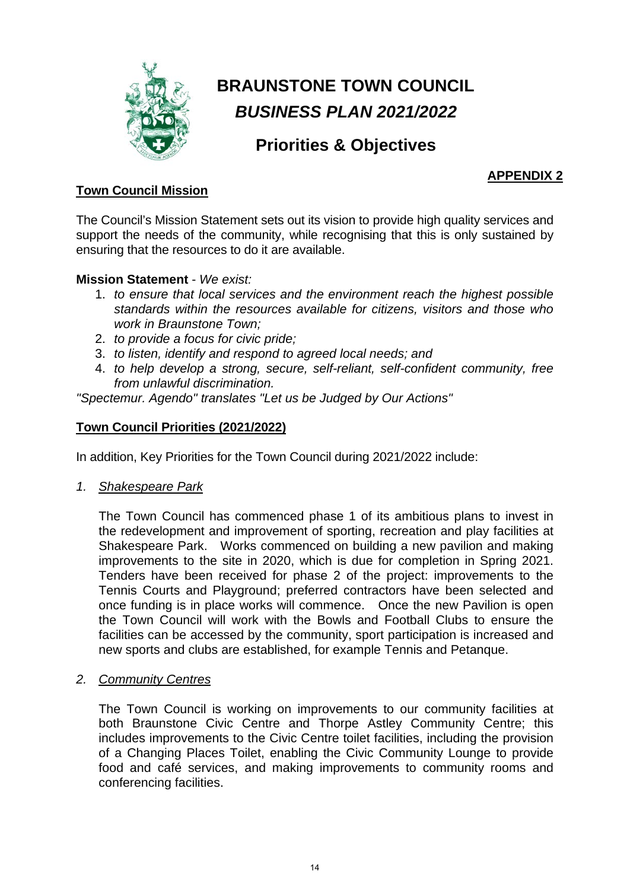

# **BRAUNSTONE TOWN COUNCIL**  *BUSINESS PLAN 2021/2022*

# **Priorities & Objectives**

# **APPENDIX 2**

# **Town Council Mission**

The Council's Mission Statement sets out its vision to provide high quality services and support the needs of the community, while recognising that this is only sustained by ensuring that the resources to do it are available.

# **Mission Statement** - *We exist:*

- 1. *to ensure that local services and the environment reach the highest possible standards within the resources available for citizens, visitors and those who work in Braunstone Town;*
- 2. *to provide a focus for civic pride;*
- 3. *to listen, identify and respond to agreed local needs; and*
- 4. *to help develop a strong, secure, self-reliant, self-confident community, free from unlawful discrimination.*

*"Spectemur. Agendo" translates "Let us be Judged by Our Actions"*

# **Town Council Priorities (2021/2022)**

In addition, Key Priorities for the Town Council during 2021/2022 include:

*1. Shakespeare Park*

The Town Council has commenced phase 1 of its ambitious plans to invest in the redevelopment and improvement of sporting, recreation and play facilities at Shakespeare Park. Works commenced on building a new pavilion and making improvements to the site in 2020, which is due for completion in Spring 2021. Tenders have been received for phase 2 of the project: improvements to the Tennis Courts and Playground; preferred contractors have been selected and once funding is in place works will commence. Once the new Pavilion is open the Town Council will work with the Bowls and Football Clubs to ensure the facilities can be accessed by the community, sport participation is increased and new sports and clubs are established, for example Tennis and Petanque.

*2. Community Centres*

The Town Council is working on improvements to our community facilities at both Braunstone Civic Centre and Thorpe Astley Community Centre; this includes improvements to the Civic Centre toilet facilities, including the provision of a Changing Places Toilet, enabling the Civic Community Lounge to provide food and café services, and making improvements to community rooms and conferencing facilities.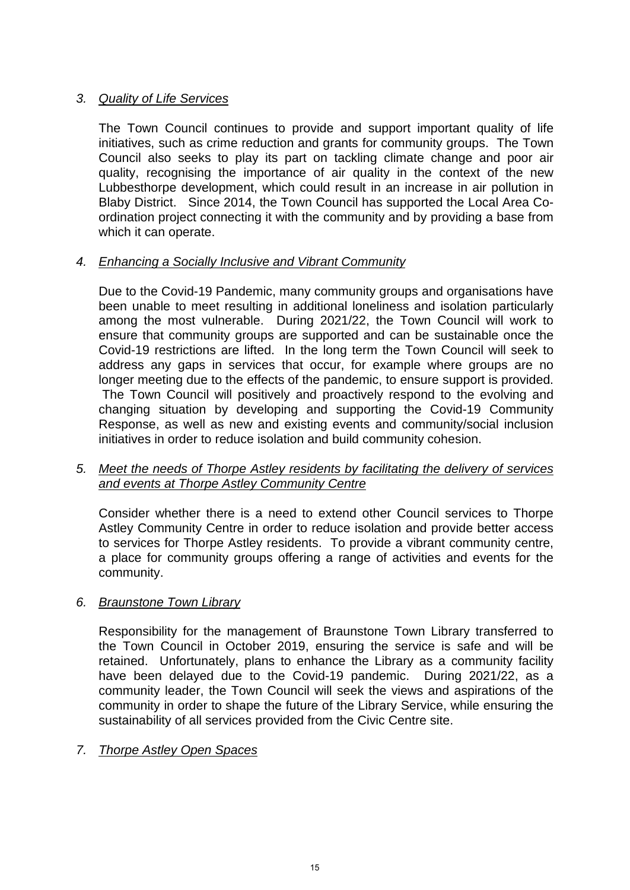# *3. Quality of Life Services*

The Town Council continues to provide and support important quality of life initiatives, such as crime reduction and grants for community groups. The Town Council also seeks to play its part on tackling climate change and poor air quality, recognising the importance of air quality in the context of the new Lubbesthorpe development, which could result in an increase in air pollution in Blaby District. Since 2014, the Town Council has supported the Local Area Coordination project connecting it with the community and by providing a base from which it can operate.

# *4. Enhancing a Socially Inclusive and Vibrant Community*

Due to the Covid-19 Pandemic, many community groups and organisations have been unable to meet resulting in additional loneliness and isolation particularly among the most vulnerable. During 2021/22, the Town Council will work to ensure that community groups are supported and can be sustainable once the Covid-19 restrictions are lifted. In the long term the Town Council will seek to address any gaps in services that occur, for example where groups are no longer meeting due to the effects of the pandemic, to ensure support is provided. The Town Council will positively and proactively respond to the evolving and changing situation by developing and supporting the Covid-19 Community Response, as well as new and existing events and community/social inclusion initiatives in order to reduce isolation and build community cohesion.

# *5. Meet the needs of Thorpe Astley residents by facilitating the delivery of services and events at Thorpe Astley Community Centre*

Consider whether there is a need to extend other Council services to Thorpe Astley Community Centre in order to reduce isolation and provide better access to services for Thorpe Astley residents. To provide a vibrant community centre, a place for community groups offering a range of activities and events for the community.

# *6. Braunstone Town Library*

Responsibility for the management of Braunstone Town Library transferred to the Town Council in October 2019, ensuring the service is safe and will be retained. Unfortunately, plans to enhance the Library as a community facility have been delayed due to the Covid-19 pandemic. During 2021/22, as a community leader, the Town Council will seek the views and aspirations of the community in order to shape the future of the Library Service, while ensuring the sustainability of all services provided from the Civic Centre site.

# *7. Thorpe Astley Open Spaces*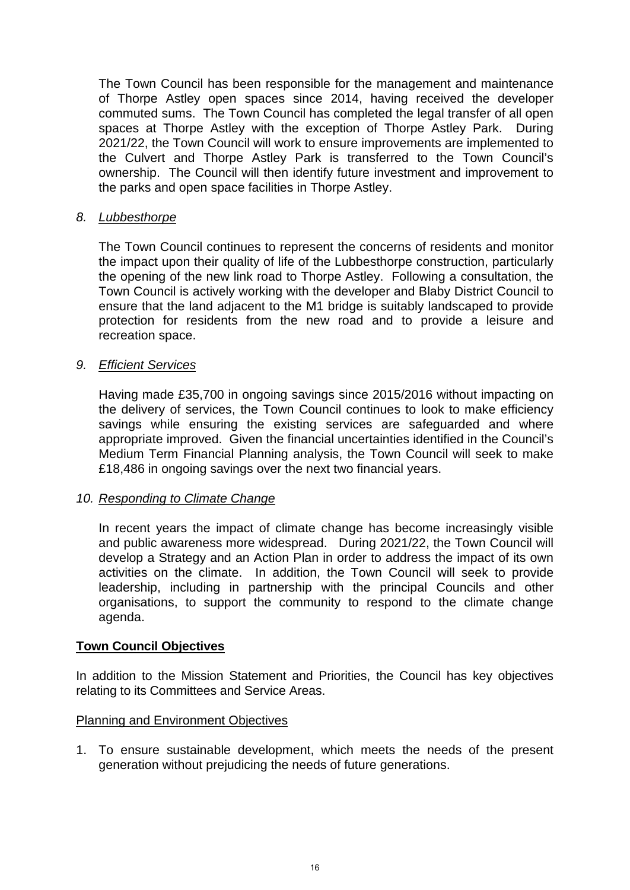The Town Council has been responsible for the management and maintenance of Thorpe Astley open spaces since 2014, having received the developer commuted sums. The Town Council has completed the legal transfer of all open spaces at Thorpe Astley with the exception of Thorpe Astley Park. During 2021/22, the Town Council will work to ensure improvements are implemented to the Culvert and Thorpe Astley Park is transferred to the Town Council's ownership. The Council will then identify future investment and improvement to the parks and open space facilities in Thorpe Astley.

## *8. Lubbesthorpe*

The Town Council continues to represent the concerns of residents and monitor the impact upon their quality of life of the Lubbesthorpe construction, particularly the opening of the new link road to Thorpe Astley. Following a consultation, the Town Council is actively working with the developer and Blaby District Council to ensure that the land adjacent to the M1 bridge is suitably landscaped to provide protection for residents from the new road and to provide a leisure and recreation space.

## *9. Efficient Services*

Having made £35,700 in ongoing savings since 2015/2016 without impacting on the delivery of services, the Town Council continues to look to make efficiency savings while ensuring the existing services are safeguarded and where appropriate improved. Given the financial uncertainties identified in the Council's Medium Term Financial Planning analysis, the Town Council will seek to make £18,486 in ongoing savings over the next two financial years.

# *10. Responding to Climate Change*

In recent years the impact of climate change has become increasingly visible and public awareness more widespread. During 2021/22, the Town Council will develop a Strategy and an Action Plan in order to address the impact of its own activities on the climate. In addition, the Town Council will seek to provide leadership, including in partnership with the principal Councils and other organisations, to support the community to respond to the climate change agenda.

### **Town Council Objectives**

In addition to the Mission Statement and Priorities, the Council has key objectives relating to its Committees and Service Areas.

### **Planning and Environment Objectives**

1. To ensure sustainable development, which meets the needs of the present generation without prejudicing the needs of future generations.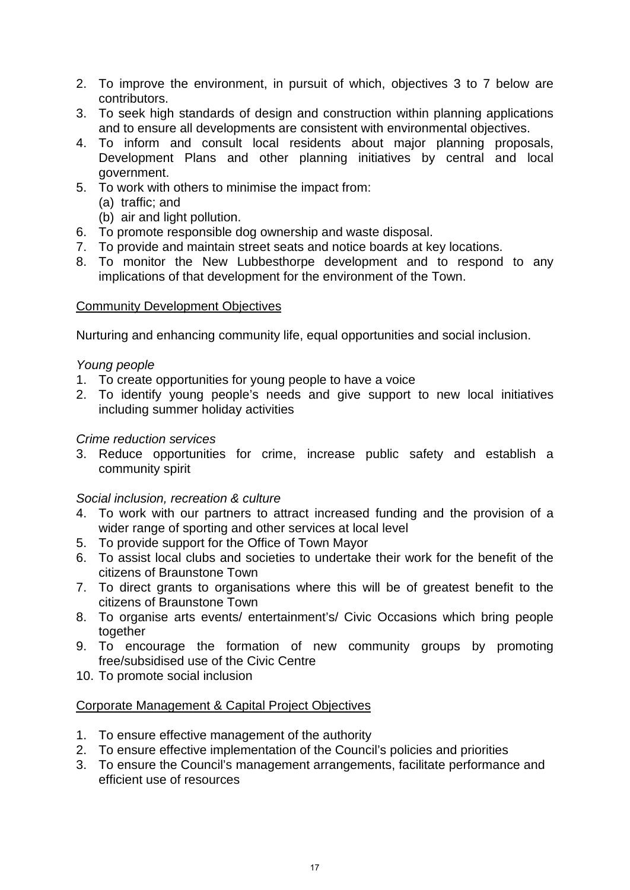- 2. To improve the environment, in pursuit of which, objectives 3 to 7 below are contributors.
- 3. To seek high standards of design and construction within planning applications and to ensure all developments are consistent with environmental objectives.
- 4. To inform and consult local residents about major planning proposals, Development Plans and other planning initiatives by central and local government.
- 5. To work with others to minimise the impact from:
	- (a) traffic; and
	- (b) air and light pollution.
- 6. To promote responsible dog ownership and waste disposal.
- 7. To provide and maintain street seats and notice boards at key locations.
- 8. To monitor the New Lubbesthorpe development and to respond to any implications of that development for the environment of the Town.

## Community Development Objectives

Nurturing and enhancing community life, equal opportunities and social inclusion.

## *Young people*

- 1. To create opportunities for young people to have a voice
- 2. To identify young people's needs and give support to new local initiatives including summer holiday activities

## *Crime reduction services*

3. Reduce opportunities for crime, increase public safety and establish a community spirit

# *Social inclusion, recreation & culture*

- 4. To work with our partners to attract increased funding and the provision of a wider range of sporting and other services at local level
- 5. To provide support for the Office of Town Mayor
- 6. To assist local clubs and societies to undertake their work for the benefit of the citizens of Braunstone Town
- 7. To direct grants to organisations where this will be of greatest benefit to the citizens of Braunstone Town
- 8. To organise arts events/ entertainment's/ Civic Occasions which bring people together
- 9. To encourage the formation of new community groups by promoting free/subsidised use of the Civic Centre
- 10. To promote social inclusion

# Corporate Management & Capital Project Objectives

- 1. To ensure effective management of the authority
- 2. To ensure effective implementation of the Council's policies and priorities
- 3. To ensure the Council's management arrangements, facilitate performance and efficient use of resources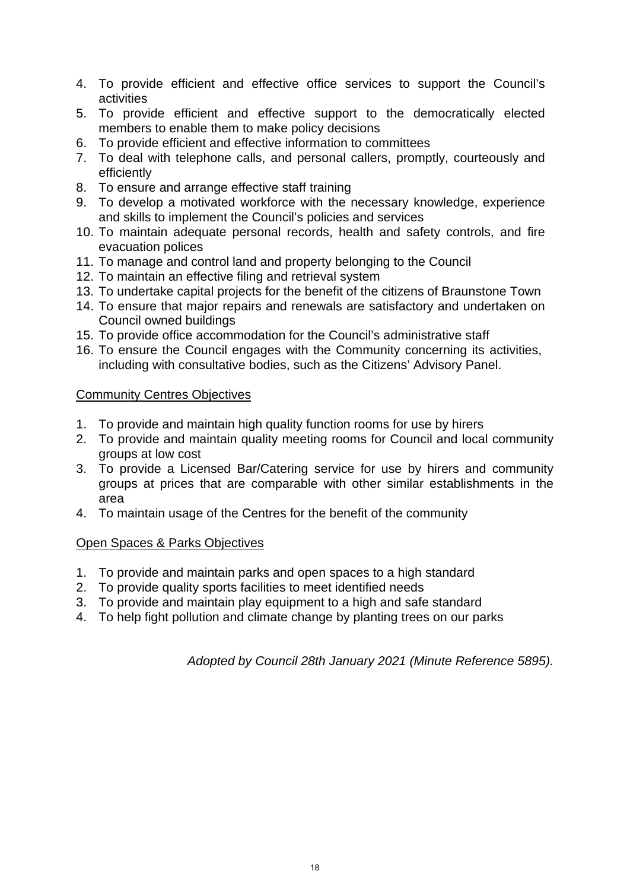- 4. To provide efficient and effective office services to support the Council's activities
- 5. To provide efficient and effective support to the democratically elected members to enable them to make policy decisions
- 6. To provide efficient and effective information to committees
- 7. To deal with telephone calls, and personal callers, promptly, courteously and efficiently
- 8. To ensure and arrange effective staff training
- 9. To develop a motivated workforce with the necessary knowledge, experience and skills to implement the Council's policies and services
- 10. To maintain adequate personal records, health and safety controls, and fire evacuation polices
- 11. To manage and control land and property belonging to the Council
- 12. To maintain an effective filing and retrieval system
- 13. To undertake capital projects for the benefit of the citizens of Braunstone Town
- 14. To ensure that major repairs and renewals are satisfactory and undertaken on Council owned buildings
- 15. To provide office accommodation for the Council's administrative staff
- 16. To ensure the Council engages with the Community concerning its activities, including with consultative bodies, such as the Citizens' Advisory Panel.

# **Community Centres Objectives**

- 1. To provide and maintain high quality function rooms for use by hirers
- 2. To provide and maintain quality meeting rooms for Council and local community groups at low cost
- 3. To provide a Licensed Bar/Catering service for use by hirers and community groups at prices that are comparable with other similar establishments in the area
- 4. To maintain usage of the Centres for the benefit of the community

# Open Spaces & Parks Objectives

- 1. To provide and maintain parks and open spaces to a high standard
- 2. To provide quality sports facilities to meet identified needs
- 3. To provide and maintain play equipment to a high and safe standard
- 4. To help fight pollution and climate change by planting trees on our parks

*Adopted by Council 28th January 2021 (Minute Reference 5895).*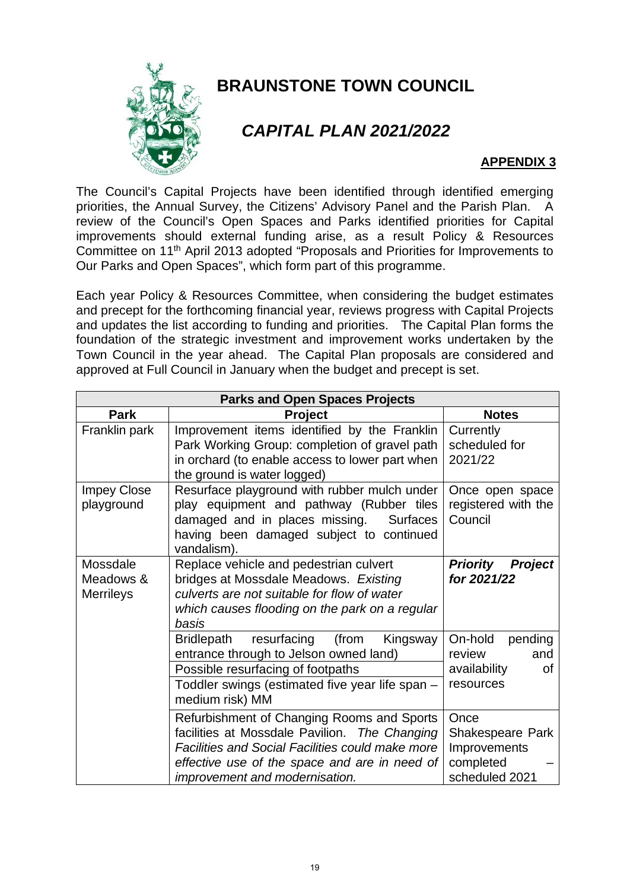

# **BRAUNSTONE TOWN COUNCIL**

# *CAPITAL PLAN 2021/2022*

# **APPENDIX 3**

The Council's Capital Projects have been identified through identified emerging priorities, the Annual Survey, the Citizens' Advisory Panel and the Parish Plan. A review of the Council's Open Spaces and Parks identified priorities for Capital improvements should external funding arise, as a result Policy & Resources Committee on 11th April 2013 adopted "Proposals and Priorities for Improvements to Our Parks and Open Spaces", which form part of this programme.

Each year Policy & Resources Committee, when considering the budget estimates and precept for the forthcoming financial year, reviews progress with Capital Projects and updates the list according to funding and priorities. The Capital Plan forms the foundation of the strategic investment and improvement works undertaken by the Town Council in the year ahead. The Capital Plan proposals are considered and approved at Full Council in January when the budget and precept is set.

| <b>Parks and Open Spaces Projects</b>     |                                                                                                                                                                                                                                           |                                                                         |  |
|-------------------------------------------|-------------------------------------------------------------------------------------------------------------------------------------------------------------------------------------------------------------------------------------------|-------------------------------------------------------------------------|--|
| <b>Park</b>                               | <b>Project</b>                                                                                                                                                                                                                            | <b>Notes</b>                                                            |  |
| Franklin park                             | Improvement items identified by the Franklin<br>Park Working Group: completion of gravel path<br>in orchard (to enable access to lower part when<br>the ground is water logged)                                                           | Currently<br>scheduled for<br>2021/22                                   |  |
| <b>Impey Close</b><br>playground          | Resurface playground with rubber mulch under<br>play equipment and pathway (Rubber tiles<br>damaged and in places missing.<br><b>Surfaces</b><br>having been damaged subject to continued<br>vandalism).                                  | Once open space<br>registered with the<br>Council                       |  |
| Mossdale<br>Meadows &<br><b>Merrileys</b> | Replace vehicle and pedestrian culvert<br>bridges at Mossdale Meadows. Existing<br>culverts are not suitable for flow of water<br>which causes flooding on the park on a regular<br>basis                                                 | <b>Priority</b><br><b>Project</b><br>for 2021/22                        |  |
|                                           | (from<br><b>Bridlepath</b><br>resurfacing<br>Kingsway<br>entrance through to Jelson owned land)<br>Possible resurfacing of footpaths<br>Toddler swings (estimated five year life span -<br>medium risk) MM                                | On-hold<br>pending<br>review<br>and<br>availability<br>0f<br>resources  |  |
|                                           | Refurbishment of Changing Rooms and Sports<br>facilities at Mossdale Pavilion. The Changing<br><b>Facilities and Social Facilities could make more</b><br>effective use of the space and are in need of<br>improvement and modernisation. | Once<br>Shakespeare Park<br>Improvements<br>completed<br>scheduled 2021 |  |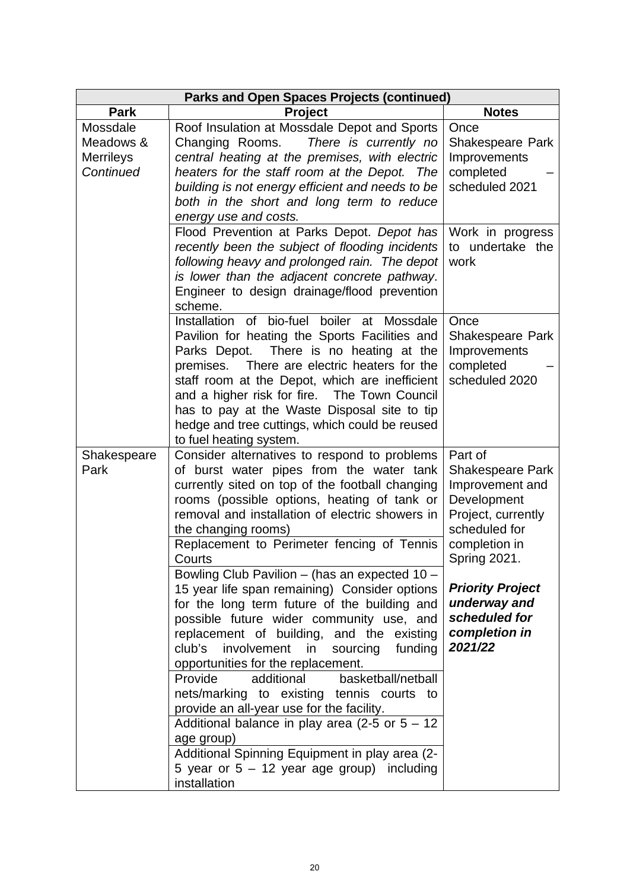| <b>Parks and Open Spaces Projects (continued)</b> |                                                                                                                                                                                                                                                                                                                                                                                                                                                                                                                                                                                                                                                                                                                                                                                                                                                                                                                            |                                                                                                                                                                                                                                      |  |
|---------------------------------------------------|----------------------------------------------------------------------------------------------------------------------------------------------------------------------------------------------------------------------------------------------------------------------------------------------------------------------------------------------------------------------------------------------------------------------------------------------------------------------------------------------------------------------------------------------------------------------------------------------------------------------------------------------------------------------------------------------------------------------------------------------------------------------------------------------------------------------------------------------------------------------------------------------------------------------------|--------------------------------------------------------------------------------------------------------------------------------------------------------------------------------------------------------------------------------------|--|
| <b>Park</b>                                       | <b>Project</b>                                                                                                                                                                                                                                                                                                                                                                                                                                                                                                                                                                                                                                                                                                                                                                                                                                                                                                             | <b>Notes</b>                                                                                                                                                                                                                         |  |
| Mossdale<br>Meadows &                             | Roof Insulation at Mossdale Depot and Sports<br>There is currently no<br>Changing Rooms.                                                                                                                                                                                                                                                                                                                                                                                                                                                                                                                                                                                                                                                                                                                                                                                                                                   | Once<br>Shakespeare Park                                                                                                                                                                                                             |  |
| <b>Merrileys</b>                                  | central heating at the premises, with electric                                                                                                                                                                                                                                                                                                                                                                                                                                                                                                                                                                                                                                                                                                                                                                                                                                                                             | Improvements                                                                                                                                                                                                                         |  |
| Continued                                         | heaters for the staff room at the Depot. The                                                                                                                                                                                                                                                                                                                                                                                                                                                                                                                                                                                                                                                                                                                                                                                                                                                                               | completed                                                                                                                                                                                                                            |  |
|                                                   | building is not energy efficient and needs to be<br>both in the short and long term to reduce                                                                                                                                                                                                                                                                                                                                                                                                                                                                                                                                                                                                                                                                                                                                                                                                                              | scheduled 2021                                                                                                                                                                                                                       |  |
|                                                   | energy use and costs.                                                                                                                                                                                                                                                                                                                                                                                                                                                                                                                                                                                                                                                                                                                                                                                                                                                                                                      |                                                                                                                                                                                                                                      |  |
|                                                   | Flood Prevention at Parks Depot. Depot has                                                                                                                                                                                                                                                                                                                                                                                                                                                                                                                                                                                                                                                                                                                                                                                                                                                                                 | Work in progress                                                                                                                                                                                                                     |  |
|                                                   | recently been the subject of flooding incidents                                                                                                                                                                                                                                                                                                                                                                                                                                                                                                                                                                                                                                                                                                                                                                                                                                                                            | to undertake the                                                                                                                                                                                                                     |  |
|                                                   | following heavy and prolonged rain. The depot<br>is lower than the adjacent concrete pathway.                                                                                                                                                                                                                                                                                                                                                                                                                                                                                                                                                                                                                                                                                                                                                                                                                              | work                                                                                                                                                                                                                                 |  |
|                                                   | Engineer to design drainage/flood prevention<br>scheme.                                                                                                                                                                                                                                                                                                                                                                                                                                                                                                                                                                                                                                                                                                                                                                                                                                                                    |                                                                                                                                                                                                                                      |  |
|                                                   | of bio-fuel<br>boiler at<br>Installation<br>Mossdale<br>Pavilion for heating the Sports Facilities and<br>Parks Depot. There is no heating at the<br>There are electric heaters for the<br>premises.<br>staff room at the Depot, which are inefficient<br>and a higher risk for fire. The Town Council<br>has to pay at the Waste Disposal site to tip<br>hedge and tree cuttings, which could be reused<br>to fuel heating system.                                                                                                                                                                                                                                                                                                                                                                                                                                                                                        | Once<br>Shakespeare Park<br>Improvements<br>completed<br>scheduled 2020                                                                                                                                                              |  |
| Shakespeare<br>Park                               | Consider alternatives to respond to problems<br>of burst water pipes from the water tank<br>currently sited on top of the football changing<br>rooms (possible options, heating of tank or<br>removal and installation of electric showers in<br>the changing rooms)<br>Replacement to Perimeter fencing of Tennis<br>Courts<br>Bowling Club Pavilion - (has an expected 10 -<br>15 year life span remaining) Consider options<br>for the long term future of the building and<br>possible future wider community use, and<br>replacement of building, and the existing<br>club's<br>involvement in<br>sourcing funding<br>opportunities for the replacement.<br>Provide<br>additional<br>basketball/netball<br>nets/marking to existing tennis courts to<br>provide an all-year use for the facility.<br>Additional balance in play area (2-5 or $5 - 12$<br>age group)<br>Additional Spinning Equipment in play area (2- | Part of<br><b>Shakespeare Park</b><br>Improvement and<br>Development<br>Project, currently<br>scheduled for<br>completion in<br>Spring 2021.<br><b>Priority Project</b><br>underway and<br>scheduled for<br>completion in<br>2021/22 |  |
|                                                   | 5 year or $5 - 12$ year age group) including<br>installation                                                                                                                                                                                                                                                                                                                                                                                                                                                                                                                                                                                                                                                                                                                                                                                                                                                               |                                                                                                                                                                                                                                      |  |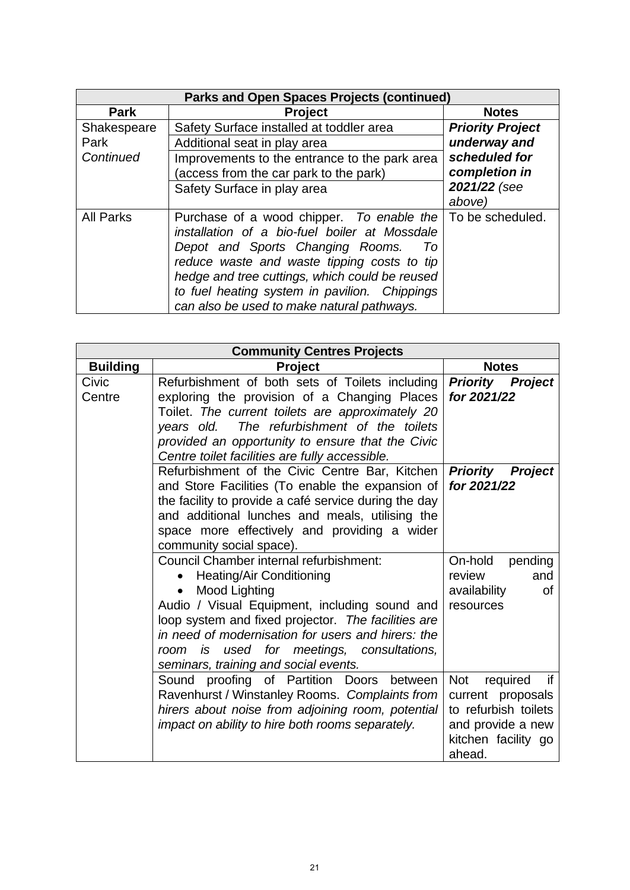| <b>Parks and Open Spaces Projects (continued)</b> |                                                                                                               |                         |  |
|---------------------------------------------------|---------------------------------------------------------------------------------------------------------------|-------------------------|--|
| <b>Park</b>                                       | <b>Project</b>                                                                                                | <b>Notes</b>            |  |
| Shakespeare                                       | Safety Surface installed at toddler area                                                                      | <b>Priority Project</b> |  |
| Park                                              | Additional seat in play area                                                                                  | underway and            |  |
| Continued                                         | Improvements to the entrance to the park area                                                                 | scheduled for           |  |
|                                                   | (access from the car park to the park)                                                                        | completion in           |  |
|                                                   | Safety Surface in play area                                                                                   | 2021/22 (see            |  |
|                                                   |                                                                                                               | above)                  |  |
| <b>All Parks</b>                                  | Purchase of a wood chipper. To enable the   To be scheduled.<br>installation of a bio-fuel boiler at Mossdale |                         |  |
|                                                   | Depot and Sports Changing Rooms.<br>10                                                                        |                         |  |
|                                                   | reduce waste and waste tipping costs to tip                                                                   |                         |  |
|                                                   | hedge and tree cuttings, which could be reused                                                                |                         |  |
|                                                   | to fuel heating system in pavilion. Chippings                                                                 |                         |  |
|                                                   | can also be used to make natural pathways.                                                                    |                         |  |

| <b>Community Centres Projects</b> |                                                                                                                                                                                                                                                                                                                                                             |                                                                                                                                 |  |
|-----------------------------------|-------------------------------------------------------------------------------------------------------------------------------------------------------------------------------------------------------------------------------------------------------------------------------------------------------------------------------------------------------------|---------------------------------------------------------------------------------------------------------------------------------|--|
| <b>Building</b>                   | <b>Project</b>                                                                                                                                                                                                                                                                                                                                              | <b>Notes</b>                                                                                                                    |  |
| Civic<br>Centre                   | Refurbishment of both sets of Toilets including<br>exploring the provision of a Changing Places<br>Toilet. The current toilets are approximately 20<br>years old. The refurbishment of the toilets<br>provided an opportunity to ensure that the Civic<br>Centre toilet facilities are fully accessible.                                                    | <b>Priority Project</b><br>for 2021/22                                                                                          |  |
|                                   | Refurbishment of the Civic Centre Bar, Kitchen<br>and Store Facilities (To enable the expansion of<br>the facility to provide a café service during the day<br>and additional lunches and meals, utilising the<br>space more effectively and providing a wider<br>community social space).                                                                  | <b>Priority Project</b><br>for 2021/22                                                                                          |  |
|                                   | Council Chamber internal refurbishment:<br>Heating/Air Conditioning<br>Mood Lighting<br>$\bullet$<br>Audio / Visual Equipment, including sound and<br>loop system and fixed projector. The facilities are<br>in need of modernisation for users and hirers: the<br>used for meetings, consultations,<br>is<br>room<br>seminars, training and social events. | On-hold<br>pending<br>review<br>and<br>availability<br>οf<br>resources                                                          |  |
|                                   | Sound proofing of Partition Doors between<br>Ravenhurst / Winstanley Rooms. Complaints from<br>hirers about noise from adjoining room, potential<br>impact on ability to hire both rooms separately.                                                                                                                                                        | <b>Not</b><br>required<br>if<br>current proposals<br>to refurbish toilets<br>and provide a new<br>kitchen facility go<br>ahead. |  |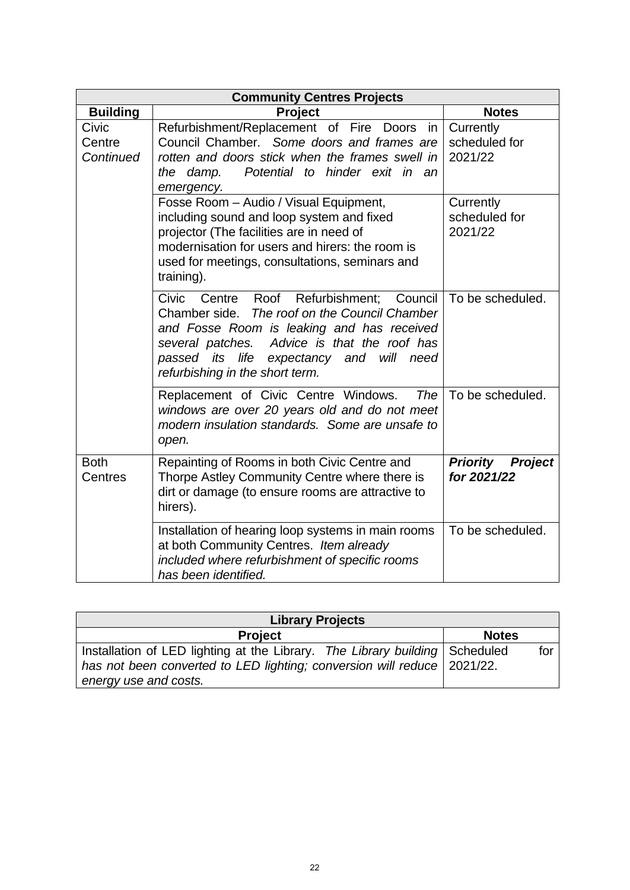| <b>Community Centres Projects</b> |                                                                                                                                                                                                                                                                                                   |                                                  |  |
|-----------------------------------|---------------------------------------------------------------------------------------------------------------------------------------------------------------------------------------------------------------------------------------------------------------------------------------------------|--------------------------------------------------|--|
| <b>Building</b>                   | <b>Project</b>                                                                                                                                                                                                                                                                                    | <b>Notes</b>                                     |  |
| Civic<br>Centre<br>Continued      | Refurbishment/Replacement of Fire Doors<br>in<br>Council Chamber. Some doors and frames are<br>rotten and doors stick when the frames swell in<br>Potential to hinder exit in an<br>the damp.<br>emergency.                                                                                       | Currently<br>scheduled for<br>2021/22            |  |
|                                   | Fosse Room - Audio / Visual Equipment,<br>including sound and loop system and fixed<br>projector (The facilities are in need of<br>modernisation for users and hirers: the room is<br>used for meetings, consultations, seminars and<br>training).                                                | Currently<br>scheduled for<br>2021/22            |  |
|                                   | Civic<br>Refurbishment; Council<br>Roof<br>Centre<br>The roof on the Council Chamber<br>Chamber side.<br>and Fosse Room is leaking and has received<br>Advice is that the roof has<br>several patches.<br>passed its life<br>will<br>expectancy<br>and<br>need<br>refurbishing in the short term. | To be scheduled.                                 |  |
|                                   | Replacement of Civic Centre Windows.<br>The<br>windows are over 20 years old and do not meet<br>modern insulation standards. Some are unsafe to<br>open.                                                                                                                                          | To be scheduled.                                 |  |
| <b>Both</b><br><b>Centres</b>     | Repainting of Rooms in both Civic Centre and<br>Thorpe Astley Community Centre where there is<br>dirt or damage (to ensure rooms are attractive to<br>hirers).                                                                                                                                    | <b>Priority</b><br><b>Project</b><br>for 2021/22 |  |
|                                   | Installation of hearing loop systems in main rooms<br>at both Community Centres. Item already<br>included where refurbishment of specific rooms<br>has been identified.                                                                                                                           | To be scheduled.                                 |  |

| <b>Library Projects</b>                                                                                                                                |              |     |  |  |
|--------------------------------------------------------------------------------------------------------------------------------------------------------|--------------|-----|--|--|
| <b>Project</b>                                                                                                                                         | <b>Notes</b> |     |  |  |
| Installation of LED lighting at the Library. The Library building Scheduled<br>has not been converted to LED lighting; conversion will reduce 2021/22. |              | for |  |  |
| energy use and costs.                                                                                                                                  |              |     |  |  |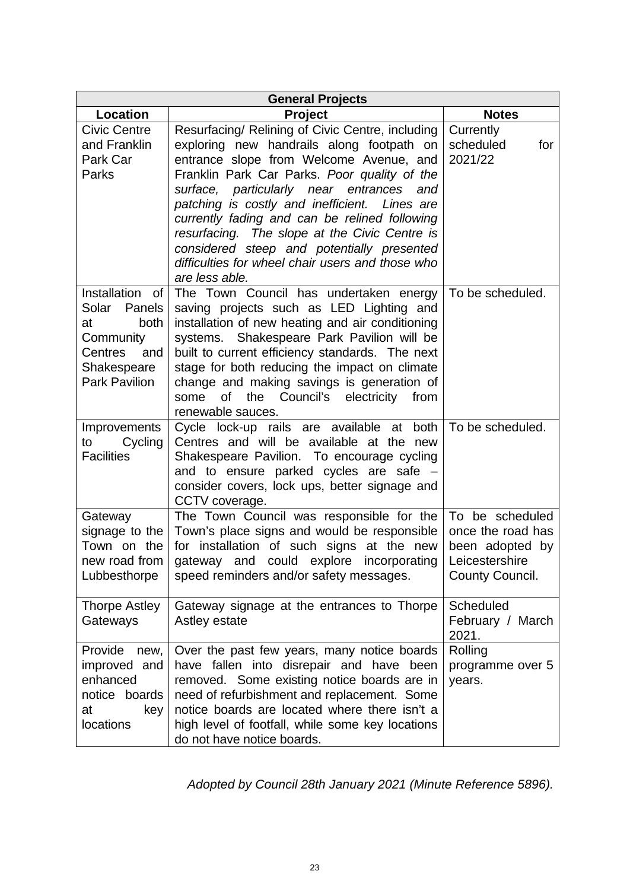| <b>General Projects</b>                                                                                                          |                                                                                                                                                                                                                                                                                                                                                                                                                                                                                                                   |                                                                                              |  |  |
|----------------------------------------------------------------------------------------------------------------------------------|-------------------------------------------------------------------------------------------------------------------------------------------------------------------------------------------------------------------------------------------------------------------------------------------------------------------------------------------------------------------------------------------------------------------------------------------------------------------------------------------------------------------|----------------------------------------------------------------------------------------------|--|--|
| Location                                                                                                                         | <b>Project</b>                                                                                                                                                                                                                                                                                                                                                                                                                                                                                                    | <b>Notes</b>                                                                                 |  |  |
| <b>Civic Centre</b><br>and Franklin<br>Park Car<br>Parks                                                                         | Resurfacing/ Relining of Civic Centre, including<br>exploring new handrails along footpath on<br>entrance slope from Welcome Avenue, and<br>Franklin Park Car Parks. Poor quality of the<br>surface, particularly near entrances<br>and<br>patching is costly and inefficient.<br>Lines are<br>currently fading and can be relined following<br>resurfacing. The slope at the Civic Centre is<br>considered steep and potentially presented<br>difficulties for wheel chair users and those who<br>are less able. | Currently<br>scheduled<br>for<br>2021/22                                                     |  |  |
| Installation<br>οf<br>Solar<br>Panels<br>both<br>at<br>Community<br><b>Centres</b><br>and<br>Shakespeare<br><b>Park Pavilion</b> | The Town Council has undertaken energy<br>saving projects such as LED Lighting and<br>installation of new heating and air conditioning<br>systems. Shakespeare Park Pavilion will be<br>built to current efficiency standards. The next<br>stage for both reducing the impact on climate<br>change and making savings is generation of<br>the Council's electricity<br>some<br>of<br>from<br>renewable sauces.                                                                                                    | To be scheduled.                                                                             |  |  |
| Improvements<br>Cycling<br>to<br><b>Facilities</b>                                                                               | Cycle lock-up rails are available at both<br>Centres and will be available at the new<br>Shakespeare Pavilion. To encourage cycling<br>and to ensure parked cycles are safe -<br>consider covers, lock ups, better signage and<br>CCTV coverage.                                                                                                                                                                                                                                                                  | To be scheduled.                                                                             |  |  |
| Gateway<br>signage to the<br>Town on the<br>new road from<br>Lubbesthorpe                                                        | The Town Council was responsible for the<br>Town's place signs and would be responsible<br>for installation of such signs at the new<br>gateway and could explore incorporating<br>speed reminders and/or safety messages.                                                                                                                                                                                                                                                                                        | To be scheduled<br>once the road has<br>been adopted by<br>Leicestershire<br>County Council. |  |  |
| <b>Thorpe Astley</b><br>Gateways                                                                                                 | Gateway signage at the entrances to Thorpe<br>Astley estate                                                                                                                                                                                                                                                                                                                                                                                                                                                       | Scheduled<br>February / March<br>2021.                                                       |  |  |
| Provide<br>new,<br>improved and<br>enhanced<br>notice boards<br>at<br>key<br>locations                                           | Over the past few years, many notice boards<br>have fallen into disrepair and have<br>been<br>removed. Some existing notice boards are in<br>need of refurbishment and replacement. Some<br>notice boards are located where there isn't a<br>high level of footfall, while some key locations<br>do not have notice boards.                                                                                                                                                                                       | Rolling<br>programme over 5<br>years.                                                        |  |  |

*Adopted by Council 28th January 2021 (Minute Reference 5896).*